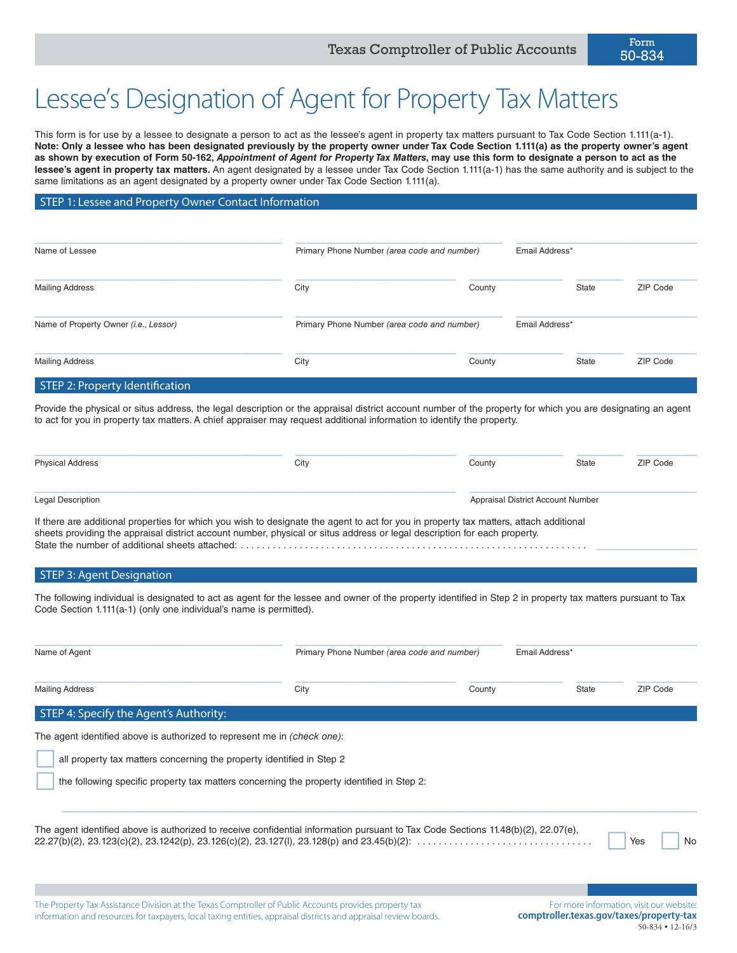# Lessee's Designation of Agent for Property Tax Matters

This form is for use by a lessee to designate a person to act as the lessee's agent in property tax matters pursuant to Tax Code Section 1.111(a-1). **Note: Only a lessee who has been designated previously by the property owner under Tax Code Section 1.111(a) as the property owner's agent as shown by execution of Form 50-162,** *Appointment of Agent for Property Tax Matters***, may use this form to designate a person to act as the lessee's agent in property tax matters.** An agent designated by a lessee under Tax Code Section 1.111(a-1) has the same authority and is subject to the same limitations as an agent designated by a property owner under Tax Code Section 1.111(a).

STEP 1: Lessee and Property Owner Contact Information

| Name of Lessee                        | Primary Phone Number (area code and number) |        | Email Address* |          |
|---------------------------------------|---------------------------------------------|--------|----------------|----------|
| <b>Mailing Address</b>                | City                                        | County | State          | ZIP Code |
| Name of Property Owner (i.e., Lessor) | Primary Phone Number (area code and number) |        | Email Address* |          |
| <b>Mailing Address</b>                | City                                        | County | <b>State</b>   | ZIP Code |
| STEP 2: Property Identification       |                                             |        |                |          |

Provide the physical or situs address, the legal description or the appraisal district account number of the property for which you are designating an agent to act for you in property tax matters. A chief appraiser may request additional information to identify the property.

| <b>Physical Address</b>  | City                                                                                                                                   | County                            | State | ZIP Code |
|--------------------------|----------------------------------------------------------------------------------------------------------------------------------------|-----------------------------------|-------|----------|
| <b>Legal Description</b> |                                                                                                                                        | Appraisal District Account Number |       |          |
|                          | If there are additional properties for which you wish to designate the agent to act for you in property tax matters, attach additional |                                   |       |          |

sheets providing the appraisal district account number, physical or situs address or legal description for each property. State the number of additional sheets attached: . \_\_\_\_\_\_\_\_\_\_\_\_\_\_\_

### **STEP 3: Agent Designation**

The following individual is designated to act as agent for the lessee and owner of the property identified in Step 2 in property tax matters pursuant to Tax Code Section 1.111(a-1) (only one individual's name is permitted).

| Name of Agent                                                            | Primary Phone Number (area code and number)                                                                                       |        | Email Address* |           |
|--------------------------------------------------------------------------|-----------------------------------------------------------------------------------------------------------------------------------|--------|----------------|-----------|
| <b>Mailing Address</b>                                                   | City                                                                                                                              | County | <b>State</b>   | ZIP Code  |
| STEP 4: Specify the Agent's Authority:                                   |                                                                                                                                   |        |                |           |
| The agent identified above is authorized to represent me in (check one): |                                                                                                                                   |        |                |           |
| all property tax matters concerning the property identified in Step 2    |                                                                                                                                   |        |                |           |
|                                                                          | the following specific property tax matters concerning the property identified in Step 2:                                         |        |                |           |
|                                                                          | The agent identified above is authorized to receive confidential information pursuant to Tax Code Sections 11.48(b)(2), 22.07(e), |        |                | Yes<br>No |
|                                                                          |                                                                                                                                   |        |                |           |